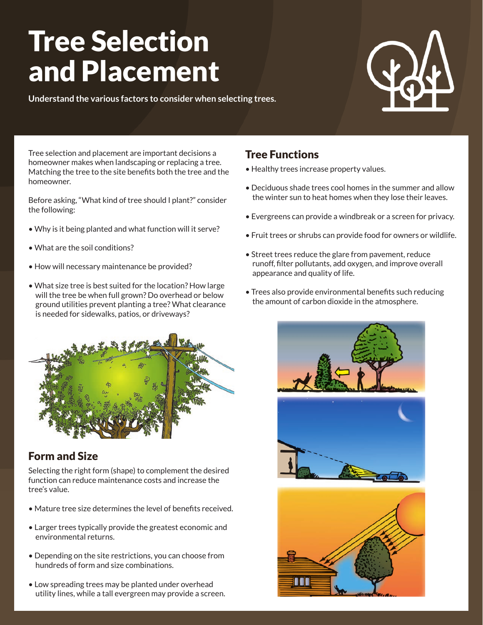# Tree Selection and Placement

**Understand the various factors to consider when selecting trees.**



Tree selection and placement are important decisions a homeowner makes when landscaping or replacing a tree. Matching the tree to the site benefits both the tree and the homeowner.

Before asking, "What kind of tree should I plant?" consider the following:

- Why is it being planted and what function will it serve?
- What are the soil conditions?
- How will necessary maintenance be provided?
- What size tree is best suited for the location? How large will the tree be when full grown? Do overhead or below ground utilities prevent planting a tree? What clearance is needed for sidewalks, patios, or driveways?



## Form and Size

Selecting the right form (shape) to complement the desired function can reduce maintenance costs and increase the tree's value.

- Mature tree size determines the level of benefits received.
- Larger trees typically provide the greatest economic and environmental returns.
- Depending on the site restrictions, you can choose from hundreds of form and size combinations.
- Low spreading trees may be planted under overhead utility lines, while a tall evergreen may provide a screen.

## Tree Functions

- Healthy trees increase property values.
- Deciduous shade trees cool homes in the summer and allow the winter sun to heat homes when they lose their leaves.
- Evergreens can provide a windbreak or a screen for privacy.
- Fruit trees or shrubs can provide food for owners or wildlife.
- Street trees reduce the glare from pavement, reduce runoff, filter pollutants, add oxygen, and improve overall appearance and quality of life.
- Trees also provide environmental benefits such reducing the amount of carbon dioxide in the atmosphere.